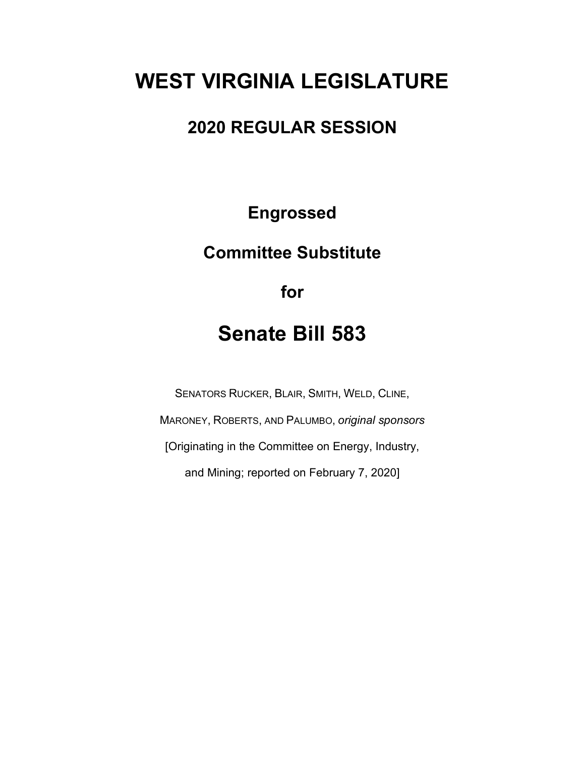# **WEST VIRGINIA LEGISLATURE**

### **2020 REGULAR SESSION**

**Engrossed**

## **Committee Substitute**

**for**

## **Senate Bill 583**

SENATORS RUCKER, BLAIR, SMITH, WELD, CLINE, MARONEY, ROBERTS, AND PALUMBO, *original sponsors* [Originating in the Committee on Energy, Industry, and Mining; reported on February 7, 2020]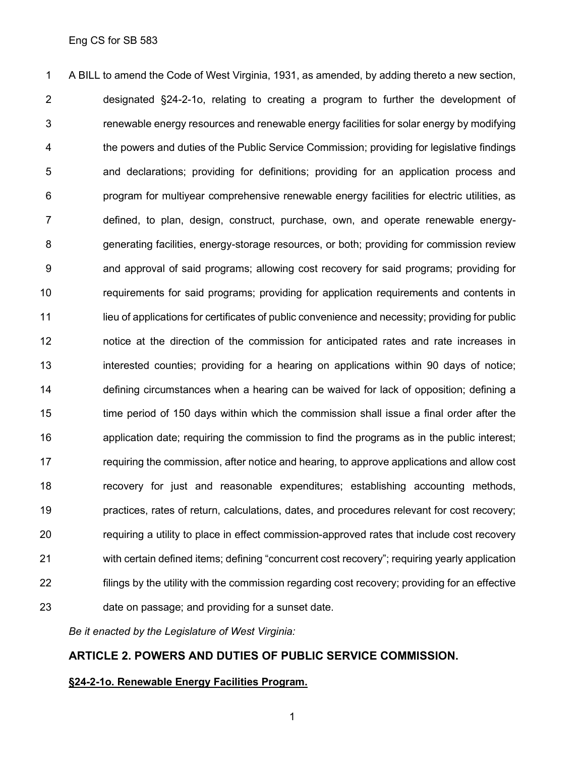A BILL to amend the Code of West Virginia, 1931, as amended, by adding thereto a new section, designated §24-2-1o, relating to creating a program to further the development of renewable energy resources and renewable energy facilities for solar energy by modifying the powers and duties of the Public Service Commission; providing for legislative findings and declarations; providing for definitions; providing for an application process and program for multiyear comprehensive renewable energy facilities for electric utilities, as defined, to plan, design, construct, purchase, own, and operate renewable energy- generating facilities, energy-storage resources, or both; providing for commission review and approval of said programs; allowing cost recovery for said programs; providing for requirements for said programs; providing for application requirements and contents in 11 lieu of applications for certificates of public convenience and necessity; providing for public notice at the direction of the commission for anticipated rates and rate increases in interested counties; providing for a hearing on applications within 90 days of notice; defining circumstances when a hearing can be waived for lack of opposition; defining a time period of 150 days within which the commission shall issue a final order after the application date; requiring the commission to find the programs as in the public interest; requiring the commission, after notice and hearing, to approve applications and allow cost recovery for just and reasonable expenditures; establishing accounting methods, practices, rates of return, calculations, dates, and procedures relevant for cost recovery; requiring a utility to place in effect commission-approved rates that include cost recovery with certain defined items; defining "concurrent cost recovery"; requiring yearly application filings by the utility with the commission regarding cost recovery; providing for an effective date on passage; and providing for a sunset date.

*Be it enacted by the Legislature of West Virginia:*

#### **ARTICLE 2. POWERS AND DUTIES OF PUBLIC SERVICE COMMISSION.**

#### **§24-2-1o. Renewable Energy Facilities Program.**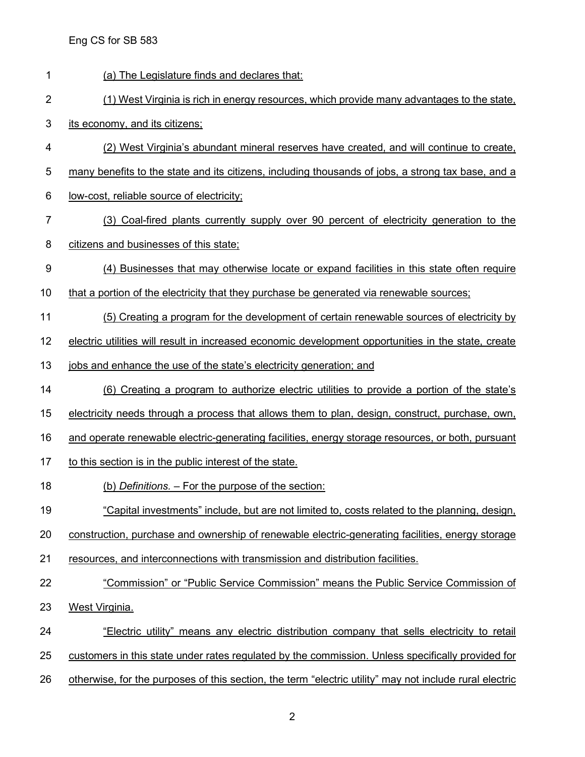| 1              | (a) The Legislature finds and declares that:                                                            |
|----------------|---------------------------------------------------------------------------------------------------------|
| $\overline{2}$ | (1) West Virginia is rich in energy resources, which provide many advantages to the state,              |
| 3              | its economy, and its citizens;                                                                          |
| 4              | (2) West Virginia's abundant mineral reserves have created, and will continue to create,                |
| 5              | many benefits to the state and its citizens, including thousands of jobs, a strong tax base, and a      |
| 6              | low-cost, reliable source of electricity;                                                               |
| 7              | (3) Coal-fired plants currently supply over 90 percent of electricity generation to the                 |
| 8              | citizens and businesses of this state;                                                                  |
| 9              | (4) Businesses that may otherwise locate or expand facilities in this state often require               |
| 10             | that a portion of the electricity that they purchase be generated via renewable sources;                |
| 11             | (5) Creating a program for the development of certain renewable sources of electricity by               |
| 12             | electric utilities will result in increased economic development opportunities in the state, create     |
| 13             | jobs and enhance the use of the state's electricity generation; and                                     |
| 14             | (6) Creating a program to authorize electric utilities to provide a portion of the state's              |
| 15             | electricity needs through a process that allows them to plan, design, construct, purchase, own,         |
| 16             | and operate renewable electric-generating facilities, energy storage resources, or both, pursuant       |
| 17             | to this section is in the public interest of the state.                                                 |
| 18             | (b) Definitions. – For the purpose of the section:                                                      |
| 19             | "Capital investments" include, but are not limited to, costs related to the planning, design,           |
| 20             | construction, purchase and ownership of renewable electric-generating facilities, energy storage        |
| 21             | resources, and interconnections with transmission and distribution facilities.                          |
| 22             | "Commission" or "Public Service Commission" means the Public Service Commission of                      |
| 23             | West Virginia.                                                                                          |
| 24             | <u>"Electric utility" means any electric distribution company that sells electricity to retail</u>      |
| 25             | customers in this state under rates regulated by the commission. Unless specifically provided for       |
| 26             | otherwise, for the purposes of this section, the term "electric utility" may not include rural electric |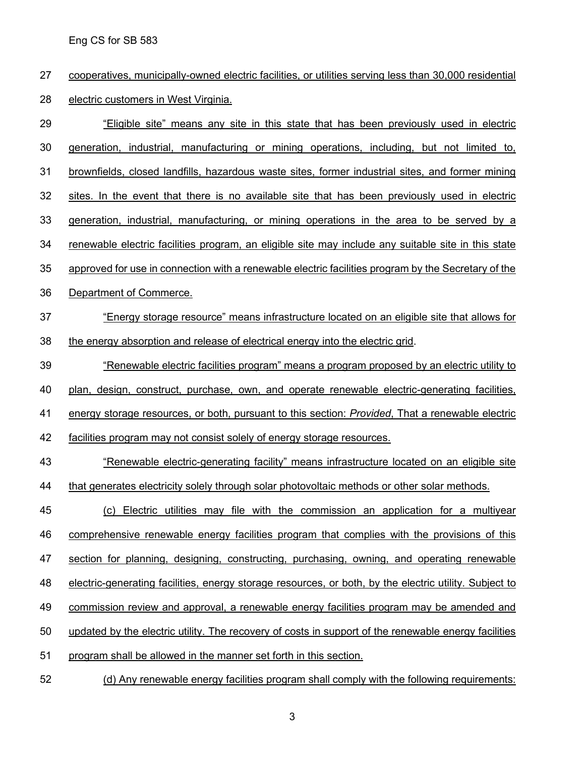cooperatives, municipally-owned electric facilities, or utilities serving less than 30,000 residential electric customers in West Virginia.

 "Eligible site" means any site in this state that has been previously used in electric generation, industrial, manufacturing or mining operations, including, but not limited to, brownfields, closed landfills, hazardous waste sites, former industrial sites, and former mining sites. In the event that there is no available site that has been previously used in electric generation, industrial, manufacturing, or mining operations in the area to be served by a renewable electric facilities program, an eligible site may include any suitable site in this state approved for use in connection with a renewable electric facilities program by the Secretary of the Department of Commerce. "Energy storage resource" means infrastructure located on an eligible site that allows for the energy absorption and release of electrical energy into the electric grid. "Renewable electric facilities program" means a program proposed by an electric utility to plan, design, construct, purchase, own, and operate renewable electric-generating facilities, energy storage resources, or both, pursuant to this section: *Provided*, That a renewable electric facilities program may not consist solely of energy storage resources. 43 "Renewable electric-generating facility" means infrastructure located on an eligible site that generates electricity solely through solar photovoltaic methods or other solar methods. (c) Electric utilities may file with the commission an application for a multiyear comprehensive renewable energy facilities program that complies with the provisions of this 47 section for planning, designing, constructing, purchasing, owning, and operating renewable electric-generating facilities, energy storage resources, or both, by the electric utility. Subject to commission review and approval, a renewable energy facilities program may be amended and updated by the electric utility. The recovery of costs in support of the renewable energy facilities program shall be allowed in the manner set forth in this section.

(d) Any renewable energy facilities program shall comply with the following requirements: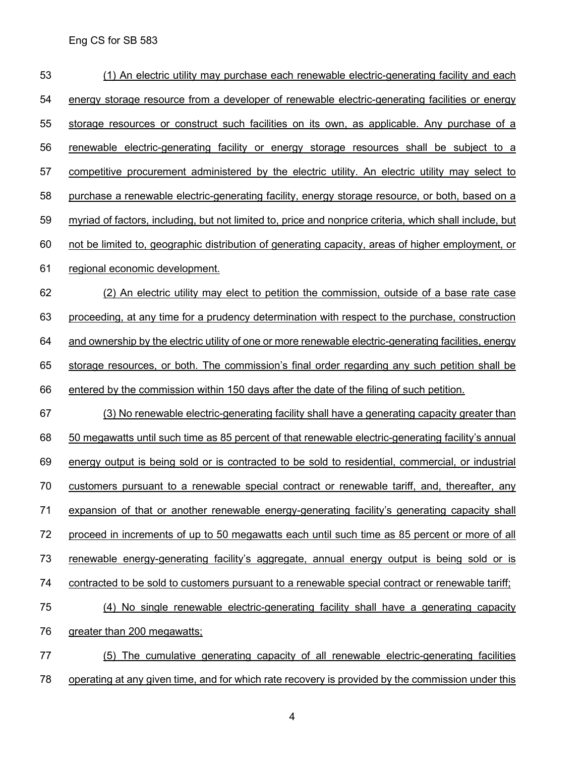| 53 | (1) An electric utility may purchase each renewable electric-generating facility and each                      |
|----|----------------------------------------------------------------------------------------------------------------|
| 54 | energy storage resource from a developer of renewable electric-generating facilities or energy                 |
| 55 | storage resources or construct such facilities on its own, as applicable. Any purchase of a                    |
| 56 | renewable electric-generating facility or energy storage resources shall be subject to a                       |
| 57 | competitive procurement administered by the electric utility. An electric utility may select to                |
| 58 | purchase a renewable electric-generating facility, energy storage resource, or both, based on a                |
| 59 | <u>myriad of factors, including, but not limited to, price and nonprice criteria, which shall include, but</u> |
| 60 | not be limited to, geographic distribution of generating capacity, areas of higher employment, or              |
| 61 | regional economic development.                                                                                 |
| 62 | (2) An electric utility may elect to petition the commission, outside of a base rate case                      |
| 63 | proceeding, at any time for a prudency determination with respect to the purchase, construction                |
| 64 | and ownership by the electric utility of one or more renewable electric-generating facilities, energy          |
| 65 | storage resources, or both. The commission's final order regarding any such petition shall be                  |
| 66 | entered by the commission within 150 days after the date of the filing of such petition.                       |
| 67 | (3) No renewable electric-generating facility shall have a generating capacity greater than                    |
| 68 | 50 megawatts until such time as 85 percent of that renewable electric-generating facility's annual             |
| 69 | energy output is being sold or is contracted to be sold to residential, commercial, or industrial              |
| 70 | customers pursuant to a renewable special contract or renewable tariff, and, thereafter, any                   |
| 71 | expansion of that or another renewable energy-generating facility's generating capacity shall                  |
| 72 | proceed in increments of up to 50 megawatts each until such time as 85 percent or more of all                  |
| 73 | renewable energy-generating facility's aggregate, annual energy output is being sold or is                     |
| 74 | contracted to be sold to customers pursuant to a renewable special contract or renewable tariff;               |
| 75 | (4) No single renewable electric-generating facility shall have a generating capacity                          |
| 76 | greater than 200 megawatts:                                                                                    |
| 77 | (5) The cumulative generating capacity of all renewable electric-generating facilities                         |
| 78 | operating at any given time, and for which rate recovery is provided by the commission under this              |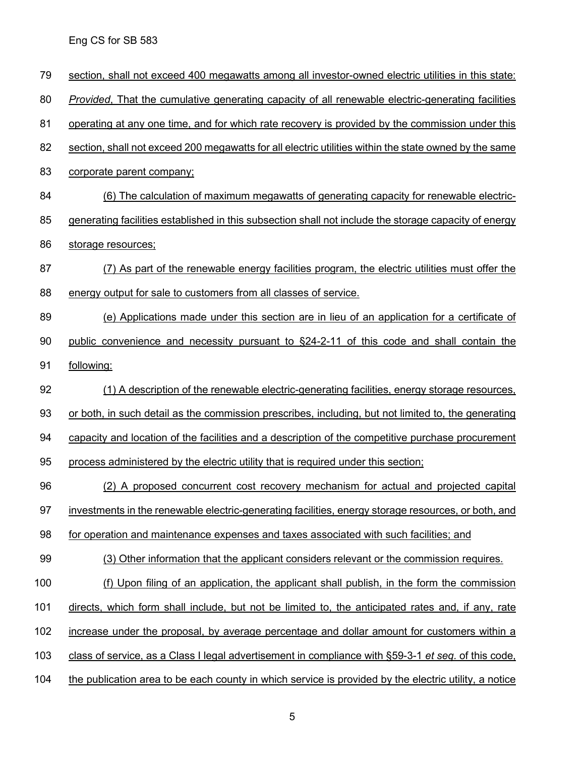| 79  | section, shall not exceed 400 megawatts among all investor-owned electric utilities in this state:    |
|-----|-------------------------------------------------------------------------------------------------------|
| 80  | Provided, That the cumulative generating capacity of all renewable electric-generating facilities     |
| 81  | operating at any one time, and for which rate recovery is provided by the commission under this       |
| 82  | section, shall not exceed 200 megawatts for all electric utilities within the state owned by the same |
| 83  | corporate parent company;                                                                             |
| 84  | (6) The calculation of maximum megawatts of generating capacity for renewable electric-               |
| 85  | generating facilities established in this subsection shall not include the storage capacity of energy |
| 86  | storage resources;                                                                                    |
| 87  | (7) As part of the renewable energy facilities program, the electric utilities must offer the         |
| 88  | energy output for sale to customers from all classes of service.                                      |
| 89  | (e) Applications made under this section are in lieu of an application for a certificate of           |
| 90  | public convenience and necessity pursuant to §24-2-11 of this code and shall contain the              |
| 91  | following:                                                                                            |
| 92  | (1) A description of the renewable electric-generating facilities, energy storage resources,          |
| 93  | or both, in such detail as the commission prescribes, including, but not limited to, the generating   |
| 94  | capacity and location of the facilities and a description of the competitive purchase procurement     |
| 95  | process administered by the electric utility that is required under this section;                     |
| 96  | (2) A proposed concurrent cost recovery mechanism for actual and projected capital                    |
| 97  | investments in the renewable electric-generating facilities, energy storage resources, or both, and   |
| 98  | for operation and maintenance expenses and taxes associated with such facilities; and                 |
| 99  | (3) Other information that the applicant considers relevant or the commission requires.               |
| 100 | (f) Upon filing of an application, the applicant shall publish, in the form the commission            |
| 101 | directs, which form shall include, but not be limited to, the anticipated rates and, if any, rate     |
| 102 | increase under the proposal, by average percentage and dollar amount for customers within a           |
| 103 | class of service, as a Class I legal advertisement in compliance with §59-3-1 et seq. of this code,   |
| 104 | the publication area to be each county in which service is provided by the electric utility, a notice |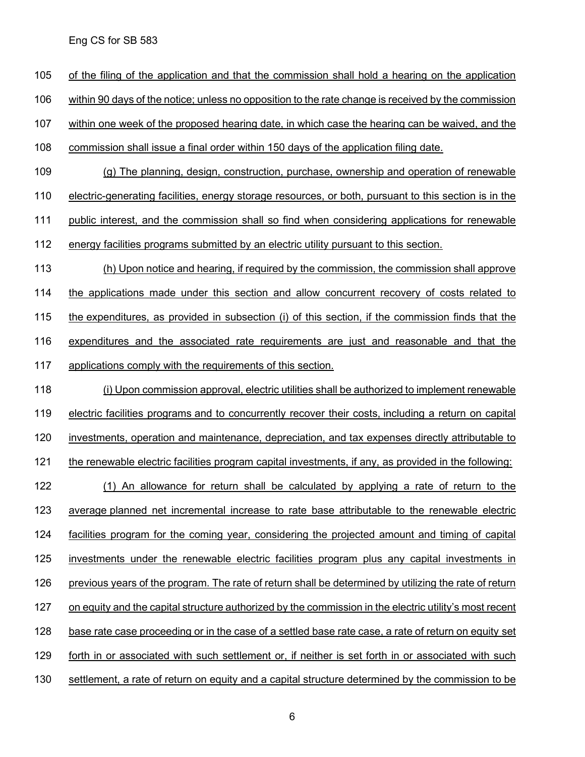of the filing of the application and that the commission shall hold a hearing on the application

within 90 days of the notice; unless no opposition to the rate change is received by the commission

within one week of the proposed hearing date, in which case the hearing can be waived, and the

commission shall issue a final order within 150 days of the application filing date.

(g) The planning, design, construction, purchase, ownership and operation of renewable

electric-generating facilities, energy storage resources, or both, pursuant to this section is in the

111 public interest, and the commission shall so find when considering applications for renewable

energy facilities programs submitted by an electric utility pursuant to this section.

 (h) Upon notice and hearing, if required by the commission, the commission shall approve the applications made under this section and allow concurrent recovery of costs related to the expenditures, as provided in subsection (i) of this section, if the commission finds that the expenditures and the associated rate requirements are just and reasonable and that the applications comply with the requirements of this section.

 (i) Upon commission approval, electric utilities shall be authorized to implement renewable 119 electric facilities programs and to concurrently recover their costs, including a return on capital investments, operation and maintenance, depreciation, and tax expenses directly attributable to 121 the renewable electric facilities program capital investments, if any, as provided in the following: (1) An allowance for return shall be calculated by applying a rate of return to the average planned net incremental increase to rate base attributable to the renewable electric facilities program for the coming year, considering the projected amount and timing of capital investments under the renewable electric facilities program plus any capital investments in 126 previous years of the program. The rate of return shall be determined by utilizing the rate of return on equity and the capital structure authorized by the commission in the electric utility's most recent base rate case proceeding or in the case of a settled base rate case, a rate of return on equity set forth in or associated with such settlement or, if neither is set forth in or associated with such 130 settlement, a rate of return on equity and a capital structure determined by the commission to be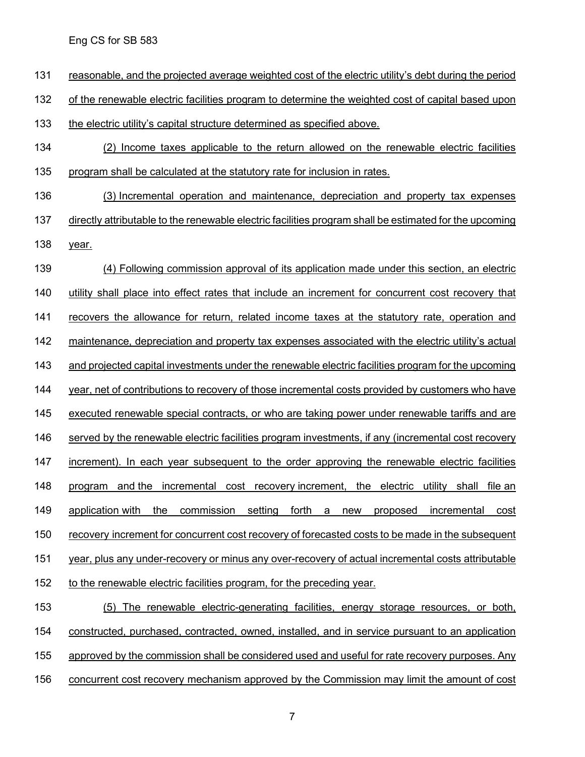reasonable, and the projected average weighted cost of the electric utility's debt during the period

of the renewable electric facilities program to determine the weighted cost of capital based upon

- the electric utility's capital structure determined as specified above.
- (2) Income taxes applicable to the return allowed on the renewable electric facilities program shall be calculated at the statutory rate for inclusion in rates.
- 136 (3) Incremental operation and maintenance, depreciation and property tax expenses
- 137 directly attributable to the renewable electric facilities program shall be estimated for the upcoming year.
- (4) Following commission approval of its application made under this section, an electric utility shall place into effect rates that include an increment for concurrent cost recovery that recovers the allowance for return, related income taxes at the statutory rate, operation and 142 maintenance, depreciation and property tax expenses associated with the electric utility's actual and projected capital investments under the renewable electric facilities program for the upcoming 144 year, net of contributions to recovery of those incremental costs provided by customers who have executed renewable special contracts, or who are taking power under renewable tariffs and are served by the renewable electric facilities program investments, if any (incremental cost recovery 147 increment). In each year subsequent to the order approving the renewable electric facilities program and the incremental cost recovery increment, the electric utility shall file an application with the commission setting forth a new proposed incremental cost recovery increment for concurrent cost recovery of forecasted costs to be made in the subsequent year, plus any under-recovery or minus any over-recovery of actual incremental costs attributable 152 to the renewable electric facilities program, for the preceding year.
- (5) The renewable electric-generating facilities, energy storage resources, or both, constructed, purchased, contracted, owned, installed, and in service pursuant to an application approved by the commission shall be considered used and useful for rate recovery purposes. Any 156 concurrent cost recovery mechanism approved by the Commission may limit the amount of cost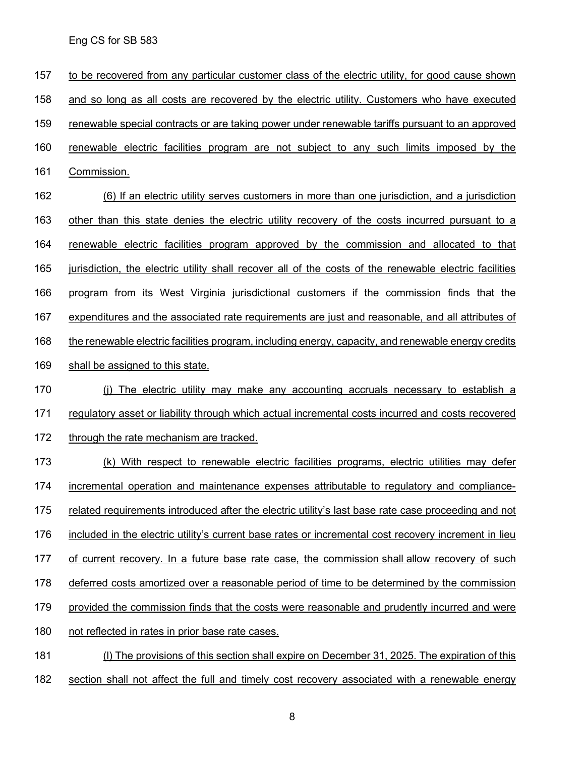to be recovered from any particular customer class of the electric utility, for good cause shown and so long as all costs are recovered by the electric utility. Customers who have executed renewable special contracts or are taking power under renewable tariffs pursuant to an approved renewable electric facilities program are not subject to any such limits imposed by the Commission. (6) If an electric utility serves customers in more than one jurisdiction, and a jurisdiction 163 other than this state denies the electric utility recovery of the costs incurred pursuant to a renewable electric facilities program approved by the commission and allocated to that jurisdiction, the electric utility shall recover all of the costs of the renewable electric facilities program from its West Virginia jurisdictional customers if the commission finds that the expenditures and the associated rate requirements are just and reasonable, and all attributes of 168 the renewable electric facilities program, including energy, capacity, and renewable energy credits shall be assigned to this state. (j) The electric utility may make any accounting accruals necessary to establish a regulatory asset or liability through which actual incremental costs incurred and costs recovered 172 through the rate mechanism are tracked. 173 (k) With respect to renewable electric facilities programs, electric utilities may defer incremental operation and maintenance expenses attributable to regulatory and compliance- related requirements introduced after the electric utility's last base rate case proceeding and not included in the electric utility's current base rates or incremental cost recovery increment in lieu of current recovery. In a future base rate case, the commission shall allow recovery of such 178 deferred costs amortized over a reasonable period of time to be determined by the commission provided the commission finds that the costs were reasonable and prudently incurred and were not reflected in rates in prior base rate cases. (l) The provisions of this section shall expire on December 31, 2025. The expiration of this

182 section shall not affect the full and timely cost recovery associated with a renewable energy